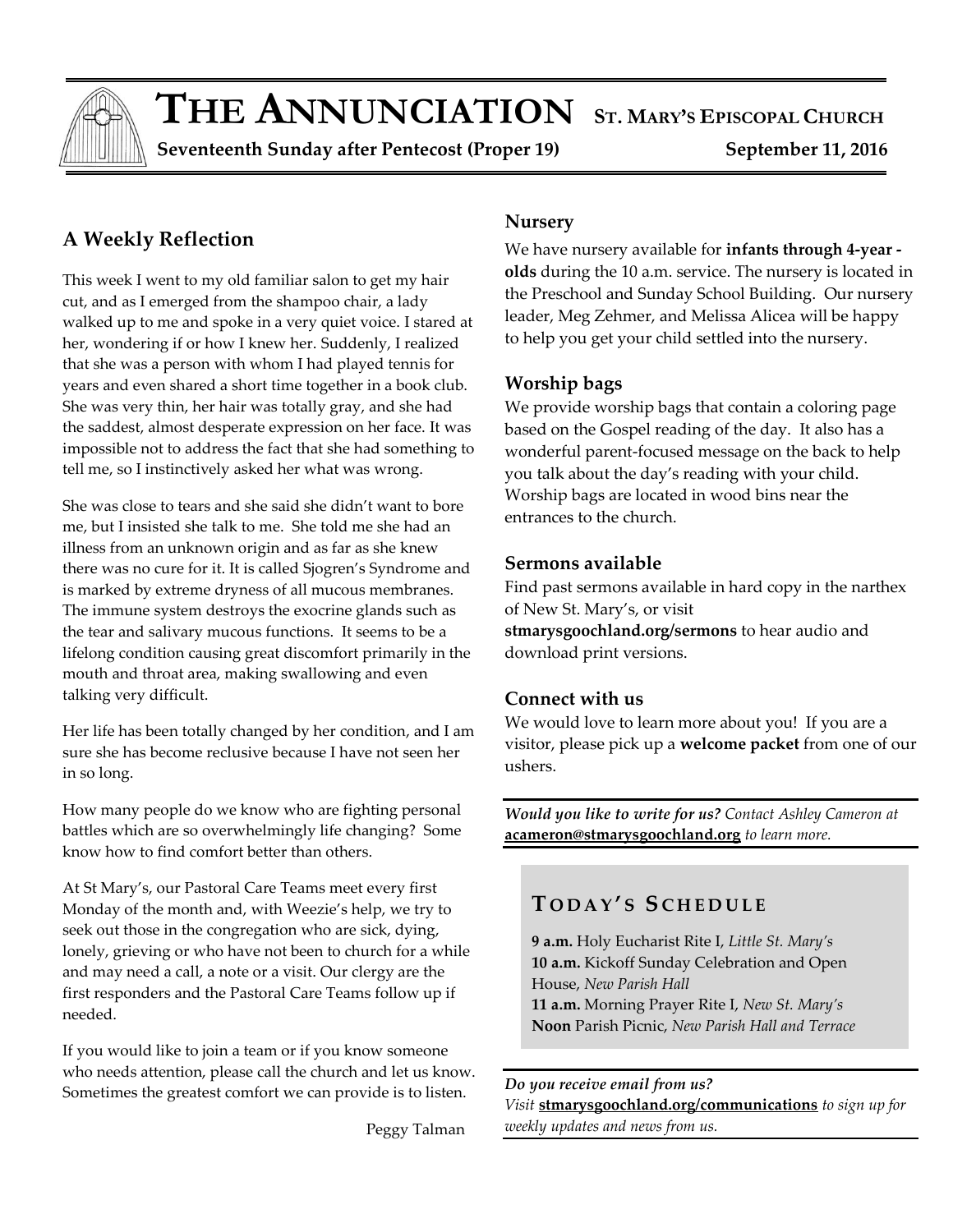

# $\bf{THE ANNUNCIATION}$  ST. MARY'S EPISCOPAL CHURCH

 **Seventeenth Sunday after Pentecost (Proper 19) September 11, 2016** 

# **A Weekly Reflection**

This week I went to my old familiar salon to get my hair cut, and as I emerged from the shampoo chair, a lady walked up to me and spoke in a very quiet voice. I stared at her, wondering if or how I knew her. Suddenly, I realized that she was a person with whom I had played tennis for years and even shared a short time together in a book club. She was very thin, her hair was totally gray, and she had the saddest, almost desperate expression on her face. It was impossible not to address the fact that she had something to tell me, so I instinctively asked her what was wrong.

She was close to tears and she said she didn't want to bore me, but I insisted she talk to me. She told me she had an illness from an unknown origin and as far as she knew there was no cure for it. It is called Sjogren's Syndrome and is marked by extreme dryness of all mucous membranes. The immune system destroys the exocrine glands such as the tear and salivary mucous functions. It seems to be a lifelong condition causing great discomfort primarily in the mouth and throat area, making swallowing and even talking very difficult.

Her life has been totally changed by her condition, and I am sure she has become reclusive because I have not seen her in so long.

How many people do we know who are fighting personal battles which are so overwhelmingly life changing? Some know how to find comfort better than others.

At St Mary's, our Pastoral Care Teams meet every first Monday of the month and, with Weezie's help, we try to seek out those in the congregation who are sick, dying, lonely, grieving or who have not been to church for a while and may need a call, a note or a visit. Our clergy are the first responders and the Pastoral Care Teams follow up if needed.

If you would like to join a team or if you know someone who needs attention, please call the church and let us know. Sometimes the greatest comfort we can provide is to listen.

Peggy Talman

#### **Nursery**

We have nursery available for **infants through 4-year olds** during the 10 a.m. service. The nursery is located in the Preschool and Sunday School Building. Our nursery leader, Meg Zehmer, and Melissa Alicea will be happy to help you get your child settled into the nursery.

### **Worship bags**

We provide worship bags that contain a coloring page based on the Gospel reading of the day. It also has a wonderful parent-focused message on the back to help you talk about the day's reading with your child. Worship bags are located in wood bins near the entrances to the church.

### **Sermons available**

Find past sermons available in hard copy in the narthex of New St. Mary's, or visit

**stmarysgoochland.org/sermons** to hear audio and download print versions.

#### **Connect with us**

We would love to learn more about you! If you are a visitor, please pick up a **welcome packet** from one of our ushers.

*Would you like to write for us? Contact Ashley Cameron at*  **acameron@stmarysgoochland.org** *to learn more.*

### **T O D A Y ' S S C H E D U L E**

**9 a.m.** Holy Eucharist Rite I, *Little St. Mary's* **10 a.m.** Kickoff Sunday Celebration and Open House, *New Parish Hall* **11 a.m.** Morning Prayer Rite I, *New St. Mary's* **Noon** Parish Picnic, *New Parish Hall and Terrace*

#### *Do you receive email from us?*

*Visit* **stmarysgoochland.org/communications** *to sign up for weekly updates and news from us.*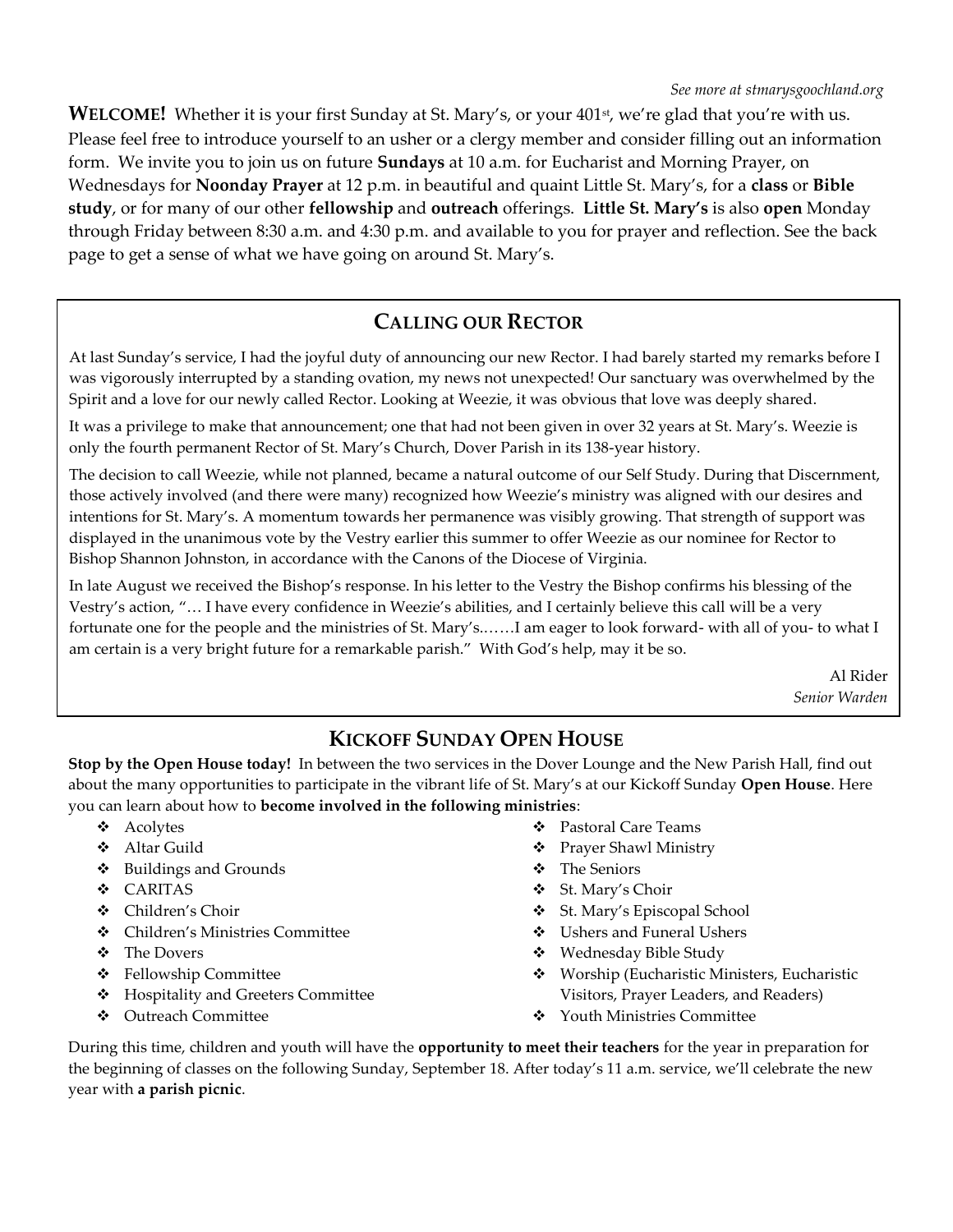**WELCOME!** Whether it is your first Sunday at St. Mary's, or your 401<sup>st</sup>, we're glad that you're with us. Please feel free to introduce yourself to an usher or a clergy member and consider filling out an information form. We invite you to join us on future **Sundays** at 10 a.m. for Eucharist and Morning Prayer, on Wednesdays for **Noonday Prayer** at 12 p.m. in beautiful and quaint Little St. Mary's, for a **class** or **Bible study**, or for many of our other **fellowship** and **outreach** offerings. **Little St. Mary's** is also **open** Monday through Friday between 8:30 a.m. and 4:30 p.m. and available to you for prayer and reflection. See the back page to get a sense of what we have going on around St. Mary's.

### **CALLING OUR RECTOR**

At last Sunday's service, I had the joyful duty of announcing our new Rector. I had barely started my remarks before I was vigorously interrupted by a standing ovation, my news not unexpected! Our sanctuary was overwhelmed by the Spirit and a love for our newly called Rector. Looking at Weezie, it was obvious that love was deeply shared.

It was a privilege to make that announcement; one that had not been given in over 32 years at St. Mary's. Weezie is only the fourth permanent Rector of St. Mary's Church, Dover Parish in its 138-year history.

The decision to call Weezie, while not planned, became a natural outcome of our Self Study. During that Discernment, those actively involved (and there were many) recognized how Weezie's ministry was aligned with our desires and intentions for St. Mary's. A momentum towards her permanence was visibly growing. That strength of support was displayed in the unanimous vote by the Vestry earlier this summer to offer Weezie as our nominee for Rector to Bishop Shannon Johnston, in accordance with the Canons of the Diocese of Virginia.

In late August we received the Bishop's response. In his letter to the Vestry the Bishop confirms his blessing of the Vestry's action, "… I have every confidence in Weezie's abilities, and I certainly believe this call will be a very fortunate one for the people and the ministries of St. Mary's.……I am eager to look forward- with all of you- to what I am certain is a very bright future for a remarkable parish." With God's help, may it be so.

> Al Rider *Senior Warden*

### **KICKOFF SUNDAY OPEN HOUSE**

**Stop by the Open House today!** In between the two services in the Dover Lounge and the New Parish Hall, find out about the many opportunities to participate in the vibrant life of St. Mary's at our Kickoff Sunday **Open House**. Here you can learn about how to **become involved in the following ministries**:

- Acolytes
- Altar Guild
- Buildings and Grounds
- CARITAS
- Children's Choir
- Children's Ministries Committee
- The Dovers
- Fellowship Committee
- ❖ Hospitality and Greeters Committee
- Outreach Committee
- Pastoral Care Teams
- Prayer Shawl Ministry
- The Seniors
- St. Mary's Choir
- St. Mary's Episcopal School
- Ushers and Funeral Ushers
- Wednesday Bible Study
- Worship (Eucharistic Ministers, Eucharistic Visitors, Prayer Leaders, and Readers)
- ❖ Youth Ministries Committee

During this time, children and youth will have the **opportunity to meet their teachers** for the year in preparation for the beginning of classes on the following Sunday, September 18. After today's 11 a.m. service, we'll celebrate the new year with **a parish picnic**.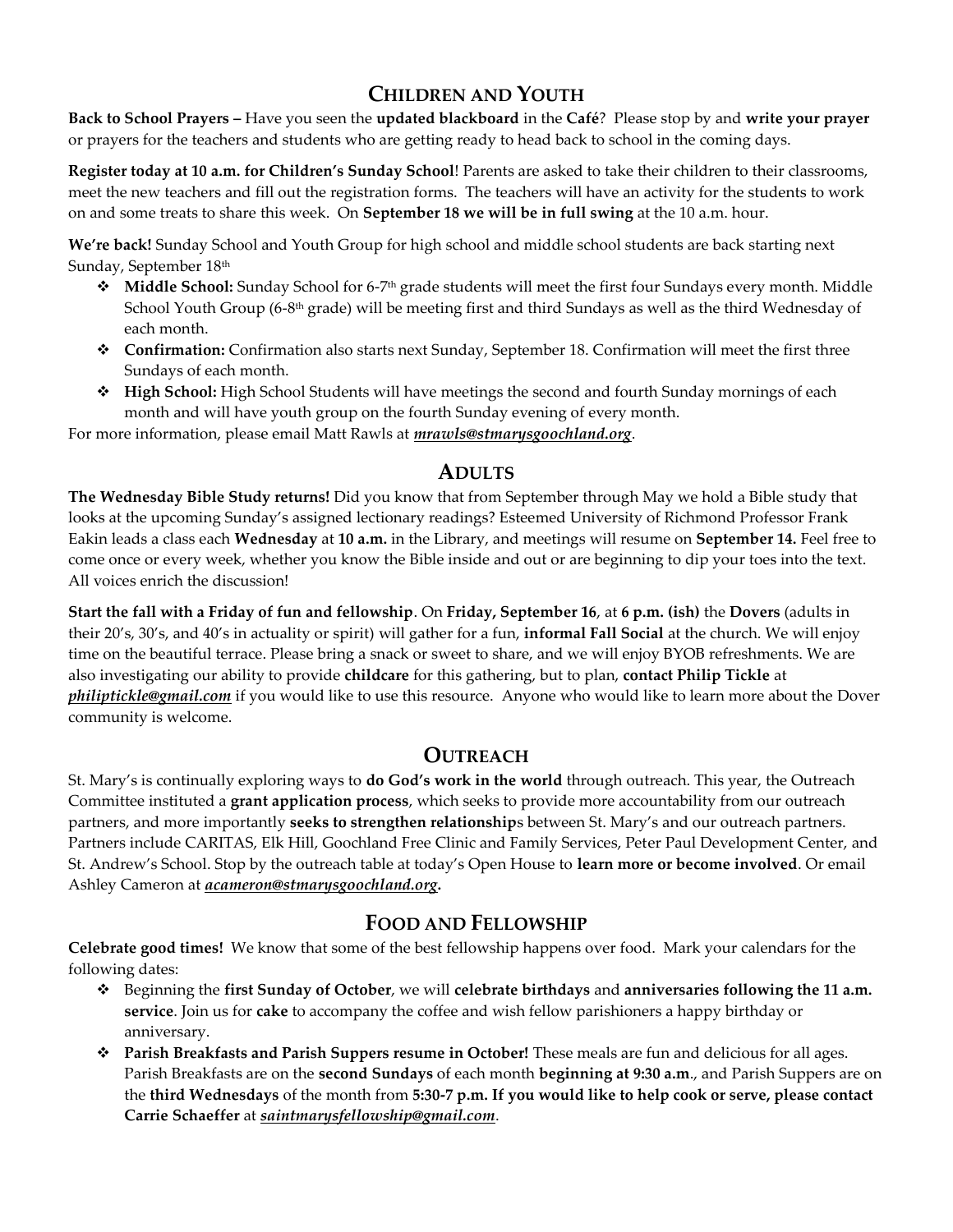# **CHILDREN AND YOUTH**

**Back to School Prayers –** Have you seen the **updated blackboard** in the **Café**? Please stop by and **write your prayer** or prayers for the teachers and students who are getting ready to head back to school in the coming days.

**Register today at 10 a.m. for Children's Sunday School**! Parents are asked to take their children to their classrooms, meet the new teachers and fill out the registration forms. The teachers will have an activity for the students to work on and some treats to share this week. On **September 18 we will be in full swing** at the 10 a.m. hour.

**We're back!** Sunday School and Youth Group for high school and middle school students are back starting next Sunday, September 18th

- ◆ **Middle School:** Sunday School for 6-7<sup>th</sup> grade students will meet the first four Sundays every month. Middle School Youth Group (6-8th grade) will be meeting first and third Sundays as well as the third Wednesday of each month.
- **Confirmation:** Confirmation also starts next Sunday, September 18. Confirmation will meet the first three Sundays of each month.
- **High School:** High School Students will have meetings the second and fourth Sunday mornings of each month and will have youth group on the fourth Sunday evening of every month.

For more information, please email Matt Rawls at *mrawls@stmarysgoochland.org*.

### **ADULTS**

**The Wednesday Bible Study returns!** Did you know that from September through May we hold a Bible study that looks at the upcoming Sunday's assigned lectionary readings? Esteemed University of Richmond Professor Frank Eakin leads a class each **Wednesday** at **10 a.m.** in the Library, and meetings will resume on **September 14.** Feel free to come once or every week, whether you know the Bible inside and out or are beginning to dip your toes into the text. All voices enrich the discussion!

**Start the fall with a Friday of fun and fellowship**. On **Friday, September 16**, at **6 p.m. (ish)** the **Dovers** (adults in their 20's, 30's, and 40's in actuality or spirit) will gather for a fun, **informal Fall Social** at the church. We will enjoy time on the beautiful terrace. Please bring a snack or sweet to share, and we will enjoy BYOB refreshments. We are also investigating our ability to provide **childcare** for this gathering, but to plan, **contact Philip Tickle** at *philiptickle@gmail.com* if you would like to use this resource. Anyone who would like to learn more about the Dover community is welcome.

### **OUTREACH**

St. Mary's is continually exploring ways to **do God's work in the world** through outreach. This year, the Outreach Committee instituted a **grant application process**, which seeks to provide more accountability from our outreach partners, and more importantly **seeks to strengthen relationship**s between St. Mary's and our outreach partners. Partners include CARITAS, Elk Hill, Goochland Free Clinic and Family Services, Peter Paul Development Center, and St. Andrew's School. Stop by the outreach table at today's Open House to **learn more or become involved**. Or email Ashley Cameron at *acameron@stmarysgoochland.org***.**

### **FOOD AND FELLOWSHIP**

**Celebrate good times!** We know that some of the best fellowship happens over food. Mark your calendars for the following dates:

- Beginning the **first Sunday of October**, we will **celebrate birthdays** and **anniversaries following the 11 a.m. service**. Join us for **cake** to accompany the coffee and wish fellow parishioners a happy birthday or anniversary.
- **Parish Breakfasts and Parish Suppers resume in October!** These meals are fun and delicious for all ages. Parish Breakfasts are on the **second Sundays** of each month **beginning at 9:30 a.m**., and Parish Suppers are on the **third Wednesdays** of the month from **5:30-7 p.m. If you would like to help cook or serve, please contact Carrie Schaeffer** at *saintmarysfellowship@gmail.com*.